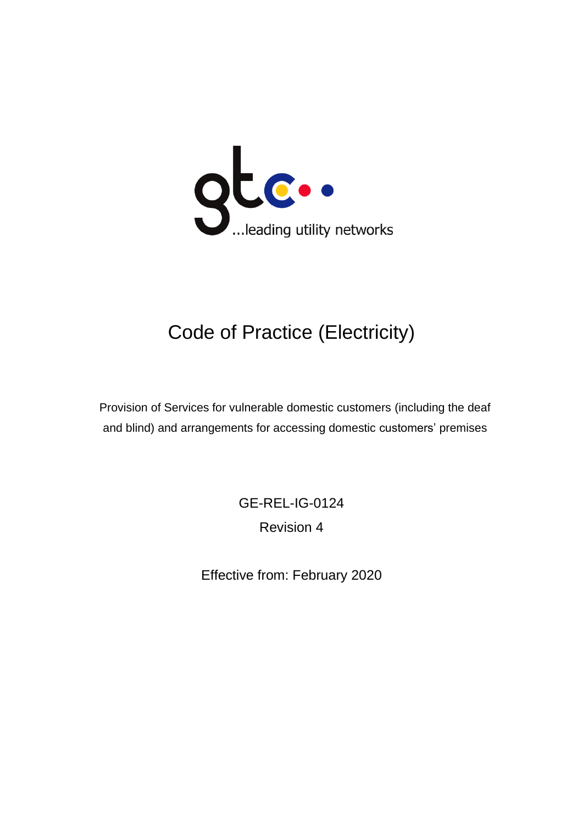

# Code of Practice (Electricity)

Provision of Services for vulnerable domestic customers (including the deaf and blind) and arrangements for accessing domestic customers' premises

> GE-REL-IG-0124 Revision 4

Effective from: February 2020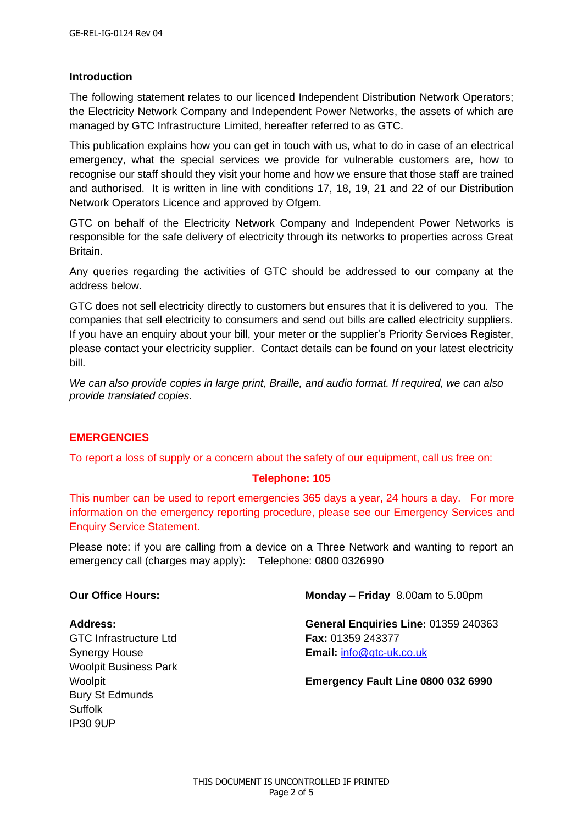#### **Introduction**

The following statement relates to our licenced Independent Distribution Network Operators; the Electricity Network Company and Independent Power Networks, the assets of which are managed by GTC Infrastructure Limited, hereafter referred to as GTC.

This publication explains how you can get in touch with us, what to do in case of an electrical emergency, what the special services we provide for vulnerable customers are, how to recognise our staff should they visit your home and how we ensure that those staff are trained and authorised. It is written in line with conditions 17, 18, 19, 21 and 22 of our Distribution Network Operators Licence and approved by Ofgem.

GTC on behalf of the Electricity Network Company and Independent Power Networks is responsible for the safe delivery of electricity through its networks to properties across Great Britain.

Any queries regarding the activities of GTC should be addressed to our company at the address below.

GTC does not sell electricity directly to customers but ensures that it is delivered to you. The companies that sell electricity to consumers and send out bills are called electricity suppliers. If you have an enquiry about your bill, your meter or the supplier's Priority Services Register, please contact your electricity supplier. Contact details can be found on your latest electricity bill.

*We can also provide copies in large print, Braille, and audio format. If required, we can also provide translated copies.* 

#### **EMERGENCIES**

To report a loss of supply or a concern about the safety of our equipment, call us free on:

#### **Telephone: 105**

This number can be used to report emergencies 365 days a year, 24 hours a day. For more information on the emergency reporting procedure, please see our Emergency Services and Enquiry Service Statement.

Please note: if you are calling from a device on a Three Network and wanting to report an emergency call (charges may apply)**:** Telephone: 0800 0326990

GTC Infrastructure Ltd **Fax:** 01359 243377 Woolpit Business Park Bury St Edmunds Suffolk IP30 9UP

**Our Office Hours: Monday – Friday** 8.00am to 5.00pm

**Address: General Enquiries Line:** 01359 240363 Synergy House **Email:** [info@gtc-uk.co.uk](mailto:info@gtc-uk.co.uk)

Woolpit **Emergency Fault Line 0800 032 6990**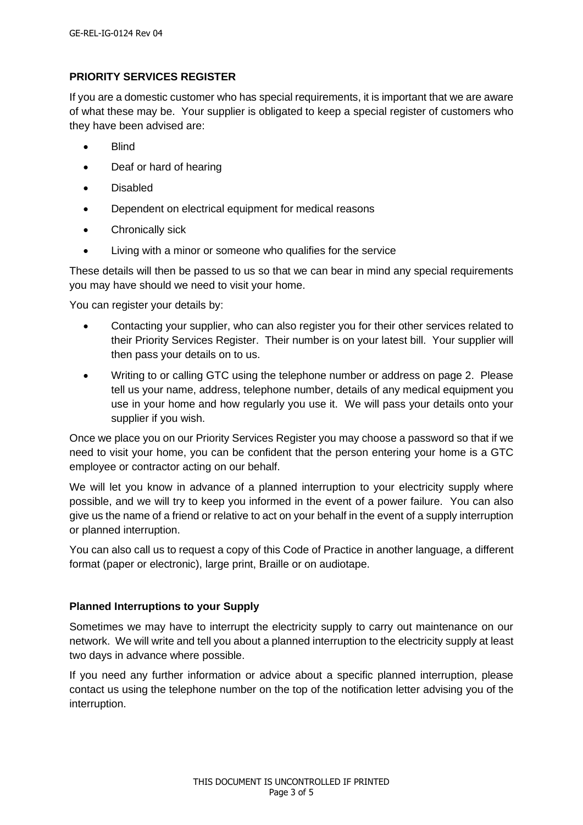# **PRIORITY SERVICES REGISTER**

If you are a domestic customer who has special requirements, it is important that we are aware of what these may be. Your supplier is obligated to keep a special register of customers who they have been advised are:

- Blind
- Deaf or hard of hearing
- Disabled
- Dependent on electrical equipment for medical reasons
- Chronically sick
- Living with a minor or someone who qualifies for the service

These details will then be passed to us so that we can bear in mind any special requirements you may have should we need to visit your home.

You can register your details by:

- Contacting your supplier, who can also register you for their other services related to their Priority Services Register. Their number is on your latest bill. Your supplier will then pass your details on to us.
- Writing to or calling GTC using the telephone number or address on page 2. Please tell us your name, address, telephone number, details of any medical equipment you use in your home and how regularly you use it. We will pass your details onto your supplier if you wish.

Once we place you on our Priority Services Register you may choose a password so that if we need to visit your home, you can be confident that the person entering your home is a GTC employee or contractor acting on our behalf.

We will let you know in advance of a planned interruption to your electricity supply where possible, and we will try to keep you informed in the event of a power failure. You can also give us the name of a friend or relative to act on your behalf in the event of a supply interruption or planned interruption.

You can also call us to request a copy of this Code of Practice in another language, a different format (paper or electronic), large print, Braille or on audiotape.

# **Planned Interruptions to your Supply**

Sometimes we may have to interrupt the electricity supply to carry out maintenance on our network. We will write and tell you about a planned interruption to the electricity supply at least two days in advance where possible.

If you need any further information or advice about a specific planned interruption, please contact us using the telephone number on the top of the notification letter advising you of the interruption.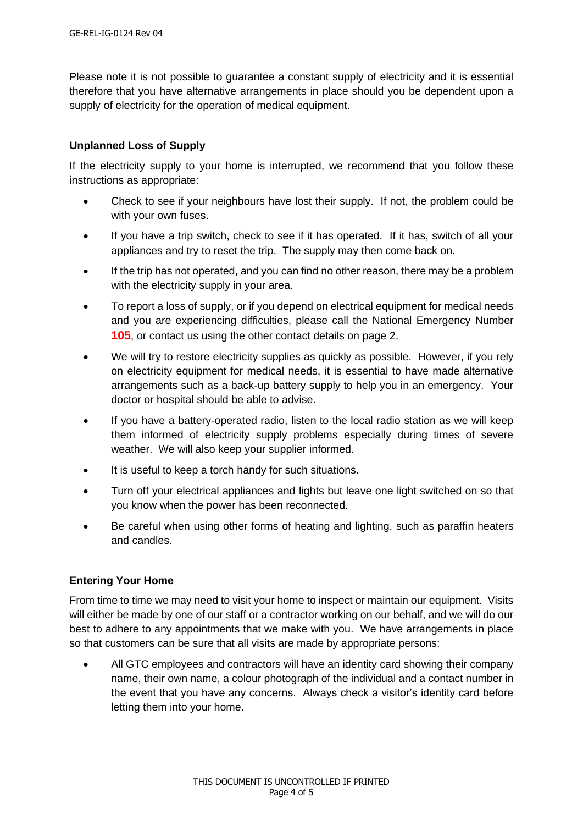Please note it is not possible to guarantee a constant supply of electricity and it is essential therefore that you have alternative arrangements in place should you be dependent upon a supply of electricity for the operation of medical equipment.

# **Unplanned Loss of Supply**

If the electricity supply to your home is interrupted, we recommend that you follow these instructions as appropriate:

- Check to see if your neighbours have lost their supply. If not, the problem could be with your own fuses.
- If you have a trip switch, check to see if it has operated. If it has, switch of all your appliances and try to reset the trip. The supply may then come back on.
- If the trip has not operated, and you can find no other reason, there may be a problem with the electricity supply in your area.
- To report a loss of supply, or if you depend on electrical equipment for medical needs and you are experiencing difficulties, please call the National Emergency Number **105**, or contact us using the other contact details on page 2.
- We will try to restore electricity supplies as quickly as possible. However, if you rely on electricity equipment for medical needs, it is essential to have made alternative arrangements such as a back-up battery supply to help you in an emergency. Your doctor or hospital should be able to advise.
- If you have a battery-operated radio, listen to the local radio station as we will keep them informed of electricity supply problems especially during times of severe weather. We will also keep your supplier informed.
- It is useful to keep a torch handy for such situations.
- Turn off your electrical appliances and lights but leave one light switched on so that you know when the power has been reconnected.
- Be careful when using other forms of heating and lighting, such as paraffin heaters and candles.

# **Entering Your Home**

From time to time we may need to visit your home to inspect or maintain our equipment. Visits will either be made by one of our staff or a contractor working on our behalf, and we will do our best to adhere to any appointments that we make with you. We have arrangements in place so that customers can be sure that all visits are made by appropriate persons:

• All GTC employees and contractors will have an identity card showing their company name, their own name, a colour photograph of the individual and a contact number in the event that you have any concerns. Always check a visitor's identity card before letting them into your home.